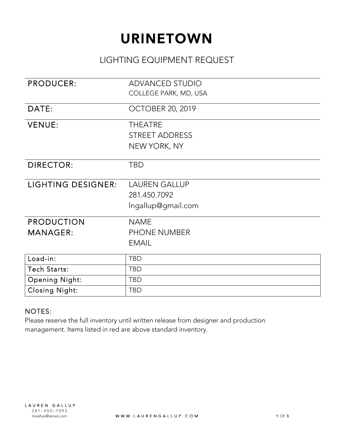# **URINETOWN**

#### LIGHTING EQUIPMENT REQUEST

| <b>PRODUCER:</b>          | <b>ADVANCED STUDIO</b>  |
|---------------------------|-------------------------|
|                           | COLLEGE PARK, MD, USA   |
| DATE:                     | <b>OCTOBER 20, 2019</b> |
| <b>VENUE:</b>             | <b>THEATRE</b>          |
|                           | <b>STREET ADDRESS</b>   |
|                           | NEW YORK, NY            |
| <b>DIRECTOR:</b>          | <b>TBD</b>              |
| <b>LIGHTING DESIGNER:</b> | <b>LAUREN GALLUP</b>    |
|                           | 281.450.7092            |
|                           | Ingallup@gmail.com      |
| <b>PRODUCTION</b>         | <b>NAME</b>             |
| <b>MANAGER:</b>           | <b>PHONE NUMBER</b>     |
|                           | <b>EMAIL</b>            |
| Load-in:                  | <b>TBD</b>              |
| Tech Starts:              | <b>TBD</b>              |
| <b>Opening Night:</b>     | <b>TBD</b>              |
| <b>Closing Night:</b>     | <b>TBD</b>              |

#### NOTES:

Please reserve the full inventory until written release from designer and production management. Items listed in red are above standard inventory.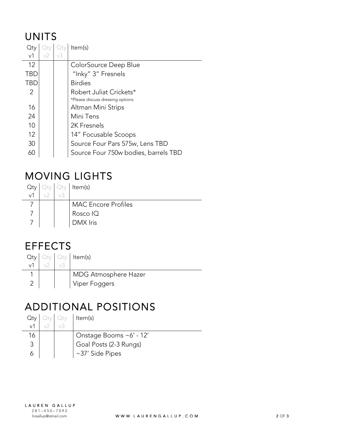#### UNITS

| Qty            |    |    | Item(s)                              |
|----------------|----|----|--------------------------------------|
| v <sub>1</sub> | v2 | v3 |                                      |
| 12             |    |    | ColorSource Deep Blue                |
| <b>TBD</b>     |    |    | "Inky" 3" Fresnels                   |
| TBD            |    |    | <b>Birdies</b>                       |
| 2              |    |    | Robert Juliat Crickets*              |
|                |    |    | *Please discuss dressing options     |
| 16             |    |    | Altman Mini Strips                   |
| 24             |    |    | Mini Tens                            |
| 10             |    |    | 2K Fresnels                          |
| 12             |    |    | 14" Focusable Scoops                 |
| 30             |    |    | Source Four Pars 575w, Lens TBD      |
| 60             |    |    | Source Four 750w bodies, barrels TBD |

# MOVING LIGHTS

| Oty      | Oty | Item(s)                    |
|----------|-----|----------------------------|
| $\vee$ 1 |     |                            |
|          |     | <b>MAC Encore Profiles</b> |
|          |     | Rosco IQ                   |
|          |     | DMX Iris                   |

#### **EFFECTS**

| Qty      |  | Oty Oty Item(s)      |
|----------|--|----------------------|
| $\vee$ 1 |  |                      |
|          |  | MDG Atmosphere Hazer |
|          |  | Viper Foggers        |

# ADDITIONAL POSITIONS

|    |  | Item(s)                             |
|----|--|-------------------------------------|
|    |  |                                     |
| 16 |  | Onstage Booms ~6' - 12'             |
|    |  | <sup>'</sup> Goal Posts (2-3 Rungs) |
| Ô  |  | ~37' Side Pipes                     |